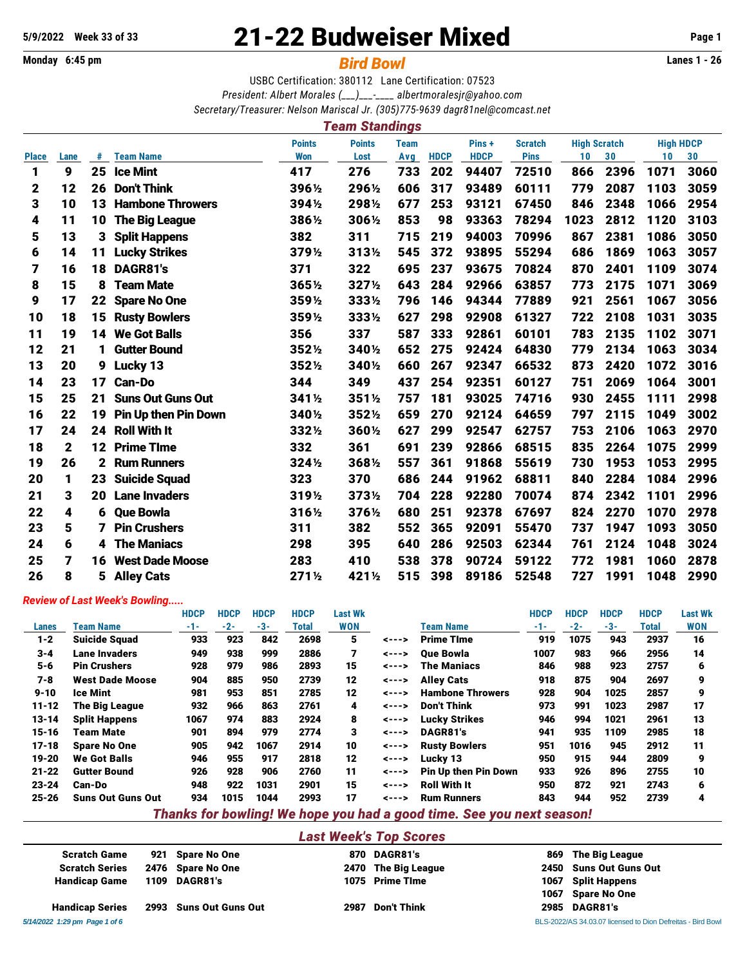**Monday 6:45 pm** *Bird Bowl* **Lanes 1 - 26**

# **5/9/2022 Week 33 of 33** 21-22 Budweiser Mixed **Page 1**

USBC Certification: 380112 Lane Certification: 07523 *President: Albert Morales (\_\_\_)\_\_\_-\_\_\_\_ [albertmoralesjr@yahoo.com](mailto:albertmoralesjr@yahoo.com) Secretary/Treasurer: Nelson Mariscal Jr. (305)775-9639 [dagr81nel@comcast.net](mailto:dagr81nel@comcast.net)*

## *Team Standings*

|              |      |    |                             | <b>Points</b> |        | <b>Team</b> |             | Pins +      | <b>Scratch</b> | <b>High Scratch</b> |      | <b>High HDCP</b> |      |
|--------------|------|----|-----------------------------|---------------|--------|-------------|-------------|-------------|----------------|---------------------|------|------------------|------|
| <b>Place</b> | Lane | #  | <b>Team Name</b>            | <b>Won</b>    | Lost   | Avg         | <b>HDCP</b> | <b>HDCP</b> | <b>Pins</b>    | 10                  | 30   | 10 <sub>1</sub>  | 30   |
| 1            | 9    | 25 | <b>Ice Mint</b>             | 417           | 276    | 733         | 202         | 94407       | 72510          | 866                 | 2396 | 1071             | 3060 |
| 2            | 12   | 26 | <b>Don't Think</b>          | 396½          | 296½   | 606         | 317         | 93489       | 60111          | 779                 | 2087 | 1103             | 3059 |
| 3            | 10   | 13 | <b>Hambone Throwers</b>     | 394½          | 2981/2 | 677         | 253         | 93121       | 67450          | 846                 | 2348 | 1066             | 2954 |
| 4            | 11   | 10 | <b>The Big League</b>       | 3861/2        | 306½   | 853         | 98          | 93363       | 78294          | 1023                | 2812 | 1120             | 3103 |
| 5            | 13   | 3  | <b>Split Happens</b>        | 382           | 311    | 715         | 219         | 94003       | 70996          | 867                 | 2381 | 1086             | 3050 |
| 6            | 14   | 11 | <b>Lucky Strikes</b>        | 379½          | 313½   | 545         | 372         | 93895       | 55294          | 686                 | 1869 | 1063             | 3057 |
| 7            | 16   | 18 | DAGR81's                    | 371           | 322    | 695         | 237         | 93675       | 70824          | 870                 | 2401 | 1109             | 3074 |
| 8            | 15   | 8  | <b>Team Mate</b>            | 3651/2        | 3271/2 | 643         | 284         | 92966       | 63857          | 773                 | 2175 | 1071             | 3069 |
| 9            | 17   | 22 | <b>Spare No One</b>         | 3591/2        | 3331/2 | 796         | 146         | 94344       | 77889          | 921                 | 2561 | 1067             | 3056 |
| 10           | 18   | 15 | <b>Rusty Bowlers</b>        | 359%          | 3331/2 | 627         | 298         | 92908       | 61327          | 722                 | 2108 | 1031             | 3035 |
| 11           | 19   | 14 | <b>We Got Balls</b>         | 356           | 337    | 587         | 333         | 92861       | 60101          | 783                 | 2135 | 1102             | 3071 |
| 12           | 21   | 1  | <b>Gutter Bound</b>         | 3521/2        | 3401/2 | 652         | 275         | 92424       | 64830          | 779                 | 2134 | 1063             | 3034 |
| 13           | 20   | 9  | <b>Lucky 13</b>             | 3521/2        | 3401/2 | 660         | 267         | 92347       | 66532          | 873                 | 2420 | 1072             | 3016 |
| 14           | 23   | 17 | Can-Do                      | 344           | 349    | 437         | 254         | 92351       | 60127          | 751                 | 2069 | 1064             | 3001 |
| 15           | 25   | 21 | <b>Suns Out Guns Out</b>    | 341½          | 3511/2 | 757         | 181         | 93025       | 74716          | 930                 | 2455 | 1111             | 2998 |
| 16           | 22   | 19 | <b>Pin Up then Pin Down</b> | 3401/2        | 3521/2 | 659         | 270         | 92124       | 64659          | 797                 | 2115 | 1049             | 3002 |
| 17           | 24   | 24 | <b>Roll With It</b>         | 3321/2        | 3601/2 | 627         | 299         | 92547       | 62757          | 753                 | 2106 | 1063             | 2970 |
| 18           | 2    | 12 | <b>Prime TIme</b>           | 332           | 361    | 691         | 239         | 92866       | 68515          | 835                 | 2264 | 1075             | 2999 |
| 19           | 26   | 2  | <b>Rum Runners</b>          | 324½          | 3681/2 | 557         | 361         | 91868       | 55619          | 730                 | 1953 | 1053             | 2995 |
| 20           | 1    | 23 | <b>Suicide Squad</b>        | 323           | 370    | 686         | 244         | 91962       | 68811          | 840                 | 2284 | 1084             | 2996 |
| 21           | 3    | 20 | <b>Lane Invaders</b>        | 319½          | 3731/2 | 704         | 228         | 92280       | 70074          | 874                 | 2342 | 1101             | 2996 |
| 22           | 4    | 6  | <b>Que Bowla</b>            | 316½          | 376½   | 680         | 251         | 92378       | 67697          | 824                 | 2270 | 1070             | 2978 |
| 23           | 5    | 7  | <b>Pin Crushers</b>         | 311           | 382    | 552         | 365         | 92091       | 55470          | 737                 | 1947 | 1093             | 3050 |
| 24           | 6    | 4  | <b>The Maniacs</b>          | 298           | 395    | 640         | 286         | 92503       | 62344          | 761                 | 2124 | 1048             | 3024 |
| 25           | 7    | 16 | <b>West Dade Moose</b>      | 283           | 410    | 538         | 378         | 90724       | 59122          | 772                 | 1981 | 1060             | 2878 |
| 26           | 8    | 5  | <b>Alley Cats</b>           | 2711/2        | 4211/2 | 515         | 398         | 89186       | 52548          | 727                 | 1991 | 1048             | 2990 |

#### *Review of Last Week's Bowling.....*

|           |                          | <b>HDCP</b> | <b>HDCP</b> | <b>HDCP</b> | <b>HDCP</b> | <b>Last Wk</b>                |                |                                                                       | <b>HDCP</b> | <b>HDCP</b> | <b>HDCP</b> | <b>HDCP</b> | <b>Last Wk</b> |
|-----------|--------------------------|-------------|-------------|-------------|-------------|-------------------------------|----------------|-----------------------------------------------------------------------|-------------|-------------|-------------|-------------|----------------|
| Lanes     | Team Name                | -1-         | $-2-$       | $-3-$       | Total       | <b>WON</b>                    |                | <b>Team Name</b>                                                      | $-1-$       | $-2-$       | $-3-$       | Total       | <b>WON</b>     |
| $1 - 2$   | <b>Suicide Squad</b>     | 933         | 923         | 842         | 2698        | 5                             | $\leftarrow -$ | <b>Prime Time</b>                                                     | 919         | 1075        | 943         | 2937        | 16             |
| $3 - 4$   | Lane Invaders            | 949         | 938         | 999         | 2886        | 7                             | $\leftarrow -$ | <b>Oue Bowla</b>                                                      | 1007        | 983         | 966         | 2956        | 14             |
| $5 - 6$   | <b>Pin Crushers</b>      | 928         | 979         | 986         | 2893        | 15                            | $\leftarrow -$ | <b>The Maniacs</b>                                                    | 846         | 988         | 923         | 2757        | 6              |
| 7-8       | <b>West Dade Moose</b>   | 904         | 885         | 950         | 2739        | 12                            | $\leftarrow -$ | <b>Alley Cats</b>                                                     | 918         | 875         | 904         | 2697        | 9              |
| $9 - 10$  | <b>Ice Mint</b>          | 981         | 953         | 851         | 2785        | 12                            | $\leftarrow -$ | <b>Hambone Throwers</b>                                               | 928         | 904         | 1025        | 2857        | 9              |
| $11 - 12$ | The Big League           | 932         | 966         | 863         | 2761        | 4                             | $\leftarrow -$ | <b>Don't Think</b>                                                    | 973         | 991         | 1023        | 2987        | 17             |
| $13 - 14$ | <b>Split Happens</b>     | 1067        | 974         | 883         | 2924        | 8                             | $\leftarrow -$ | <b>Lucky Strikes</b>                                                  | 946         | 994         | 1021        | 2961        | 13             |
| $15 - 16$ | Team Mate                | 901         | 894         | 979         | 2774        | 3                             | $\leftarrow -$ | DAGR81's                                                              | 941         | 935         | 1109        | 2985        | 18             |
| $17 - 18$ | <b>Spare No One</b>      | 905         | 942         | 1067        | 2914        | 10                            | $\leftarrow -$ | <b>Rusty Bowlers</b>                                                  | 951         | 1016        | 945         | 2912        | 11             |
| 19-20     | <b>We Got Balls</b>      | 946         | 955         | 917         | 2818        | 12                            | $\leftarrow -$ | Lucky 13                                                              | 950         | 915         | 944         | 2809        | 9              |
| $21 - 22$ | <b>Gutter Bound</b>      | 926         | 928         | 906         | 2760        | 11                            | $\leftarrow -$ | <b>Pin Up then Pin Down</b>                                           | 933         | 926         | 896         | 2755        | 10             |
| $23 - 24$ | Can-Do                   | 948         | 922         | 1031        | 2901        | 15                            | $\leftarrow -$ | <b>Roll With It</b>                                                   | 950         | 872         | 921         | 2743        | 6              |
| $25 - 26$ | <b>Suns Out Guns Out</b> | 934         | 1015        | 1044        | 2993        | 17                            | $\leftarrow -$ | <b>Rum Runners</b>                                                    | 843         | 944         | 952         | 2739        | 4              |
|           |                          |             |             |             |             |                               |                | Thanks for bowling! We hope you had a good time. See you next season! |             |             |             |             |                |
|           |                          |             |             |             |             | <b>Last Week's Top Scores</b> |                |                                                                       |             |             |             |             |                |

Scratch Game 921 Spare No One 870 DAGR81's 869 The Big League Scratch Series 2476 Spare No One 2470 The Big League 2450 Suns Out Guns Out Handicap Game 1109 DAGR81's 1075 Prime TIme 1007 Split Happens 1067 Spare No One Handicap Series 2993 Suns Out Guns Out 2987 Don't Think 2985 DAGR81's

*5/14/2022 1:29 pm Page 1 of 6* BLS-2022/AS 34.03.07 licensed to Dion Defreitas - Bird Bowl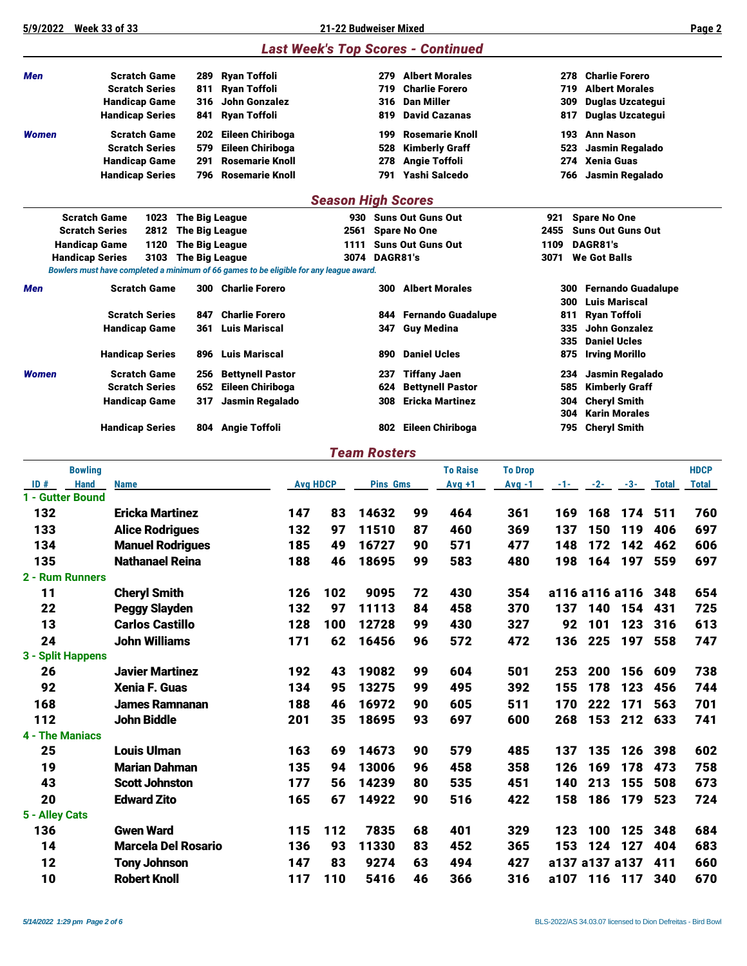**5/9/2022 Week 33 of 33 21-22 Budweiser Mixed Page 2**

*Last Week's Top Scores - Continued*

| Men                                  | <b>Scratch Game</b>                                                                    | 289                                            | <b>Ryan Toffoli</b>     |                 |     | 279                       |                          | <b>Albert Morales</b>     |                            | 278          |                                 | <b>Charlie Forero</b>                |              |              |
|--------------------------------------|----------------------------------------------------------------------------------------|------------------------------------------------|-------------------------|-----------------|-----|---------------------------|--------------------------|---------------------------|----------------------------|--------------|---------------------------------|--------------------------------------|--------------|--------------|
|                                      | <b>Scratch Series</b>                                                                  | 811                                            | <b>Ryan Toffoli</b>     |                 |     | 719                       |                          | <b>Charlie Forero</b>     |                            | 719          |                                 | <b>Albert Morales</b>                |              |              |
|                                      | <b>Handicap Game</b>                                                                   | 316                                            | <b>John Gonzalez</b>    |                 |     | 316                       | <b>Dan Miller</b>        |                           |                            | 309          |                                 | <b>Duglas Uzcategui</b>              |              |              |
|                                      | <b>Handicap Series</b>                                                                 | 841                                            | <b>Ryan Toffoli</b>     |                 |     | 819                       |                          | <b>David Cazanas</b>      |                            | 817          |                                 | Duglas Uzcategui                     |              |              |
| <b>Women</b>                         | <b>Scratch Game</b>                                                                    | 202                                            | Eileen Chiriboga        |                 |     | 199                       |                          | <b>Rosemarie Knoll</b>    |                            | 193          | <b>Ann Nason</b>                |                                      |              |              |
|                                      | <b>Scratch Series</b>                                                                  | 579                                            | Eileen Chiriboga        |                 |     | 528                       |                          | <b>Kimberly Graff</b>     |                            | 523          |                                 | Jasmin Regalado                      |              |              |
|                                      | <b>Handicap Game</b>                                                                   | 291                                            | <b>Rosemarie Knoll</b>  |                 |     | 278                       | <b>Angie Toffoli</b>     |                           |                            | 274          | <b>Xenia Guas</b>               |                                      |              |              |
|                                      | <b>Handicap Series</b>                                                                 | 796                                            | <b>Rosemarie Knoll</b>  |                 |     | 791                       |                          | Yashi Salcedo             |                            | 766          |                                 | Jasmin Regalado                      |              |              |
|                                      |                                                                                        |                                                |                         |                 |     | <b>Season High Scores</b> |                          |                           |                            |              |                                 |                                      |              |              |
|                                      | <b>Scratch Game</b>                                                                    | 1023 The Big League                            |                         |                 |     | 930 Suns Out Guns Out     |                          |                           |                            | 921          | <b>Spare No One</b>             |                                      |              |              |
|                                      | <b>Scratch Series</b><br>2812                                                          | <b>The Big League</b>                          |                         |                 |     | 2561                      | <b>Spare No One</b>      |                           |                            | 2455         | <b>Suns Out Guns Out</b>        |                                      |              |              |
|                                      | <b>Handicap Game</b><br>1120<br>3103<br><b>Handicap Series</b>                         | <b>The Big League</b><br><b>The Big League</b> |                         |                 |     | 1111<br>DAGR81's<br>3074  | <b>Suns Out Guns Out</b> |                           |                            | 1109<br>3071 | DAGR81's<br><b>We Got Balls</b> |                                      |              |              |
|                                      | Bowlers must have completed a minimum of 66 games to be eligible for any league award. |                                                |                         |                 |     |                           |                          |                           |                            |              |                                 |                                      |              |              |
| Men                                  | <b>Scratch Game</b>                                                                    |                                                | 300 Charlie Forero      |                 |     | 300                       |                          | <b>Albert Morales</b>     |                            | 300          |                                 | <b>Fernando Guadalupe</b>            |              |              |
|                                      |                                                                                        |                                                |                         |                 |     |                           |                          |                           |                            | 300          |                                 | <b>Luis Mariscal</b>                 |              |              |
|                                      | <b>Scratch Series</b>                                                                  | 847                                            | <b>Charlie Forero</b>   |                 |     | 844                       |                          | <b>Fernando Guadalupe</b> |                            | 811          |                                 | Ryan Toffoli                         |              |              |
|                                      | Handicap Game                                                                          | 361                                            | <b>Luis Mariscal</b>    |                 |     | 347                       | <b>Guy Medina</b>        |                           |                            | 335<br>335   |                                 | John Gonzalez<br><b>Daniel Ucles</b> |              |              |
|                                      | <b>Handicap Series</b>                                                                 | 896                                            | <b>Luis Mariscal</b>    |                 |     | 890                       | <b>Daniel Ucles</b>      |                           |                            | 875          |                                 | <b>Irving Morillo</b>                |              |              |
| <b>Women</b>                         | <b>Scratch Game</b>                                                                    | 256                                            | <b>Bettynell Pastor</b> |                 |     | 237                       | <b>Tiffany Jaen</b>      |                           |                            | 234          |                                 | Jasmin Regalado                      |              |              |
|                                      | <b>Scratch Series</b>                                                                  | 652                                            | <b>Eileen Chiriboga</b> |                 |     | 624                       |                          | <b>Bettynell Pastor</b>   |                            | 585          |                                 | <b>Kimberly Graff</b>                |              |              |
|                                      | <b>Handicap Game</b>                                                                   | 317                                            | Jasmin Regalado         |                 |     | 308                       |                          | <b>Ericka Martinez</b>    |                            | 304          |                                 | <b>Cheryl Smith</b>                  |              |              |
|                                      |                                                                                        |                                                |                         |                 |     |                           |                          |                           |                            | 304          |                                 | <b>Karin Morales</b>                 |              |              |
|                                      | <b>Handicap Series</b>                                                                 | 804                                            | <b>Angie Toffoli</b>    |                 |     | 802                       |                          | Eileen Chiriboga          |                            | 795          |                                 | <b>Cheryl Smith</b>                  |              |              |
|                                      |                                                                                        |                                                |                         |                 |     | <b>Team Rosters</b>       |                          |                           |                            |              |                                 |                                      |              |              |
| <b>Bowling</b><br>ID#<br><b>Hand</b> | <b>Name</b>                                                                            |                                                |                         | <b>Avg HDCP</b> |     | <b>Pins Gms</b>           |                          | <b>To Raise</b>           | <b>To Drop</b><br>$Avg -1$ |              |                                 |                                      |              | <b>HDCP</b>  |
| 1 - Gutter Bound                     |                                                                                        |                                                |                         |                 |     |                           |                          | $Avg +1$                  |                            | -1-          | $-2-$                           | $-3-$                                | <b>Total</b> | <b>Total</b> |
| 132                                  | <b>Ericka Martinez</b>                                                                 |                                                |                         | 147             | 83  | 14632                     | 99                       | 464                       | 361                        | 169          | 168                             | 174                                  | 511          | 760          |
| 133                                  | <b>Alice Rodrigues</b>                                                                 |                                                |                         | 132             | 97  | 11510                     | 87                       | 460                       | 369                        | 137          | 150                             | 119                                  | 406          | 697          |
| 134                                  | <b>Manuel Rodrigues</b>                                                                |                                                |                         | 185             | 49  | 16727                     | 90                       | 571                       | 477                        | 148          | 172                             | 142                                  | 462          | 606          |
| 135                                  | <b>Nathanael Reina</b>                                                                 |                                                |                         | 188             | 46  | 18695                     | 99                       | 583                       | 480                        | 198          | 164                             | 197                                  | 559          | 697          |
| 2 - Rum Runners                      |                                                                                        |                                                |                         |                 |     |                           |                          |                           |                            |              |                                 |                                      |              |              |
| 11                                   | <b>Cheryl Smith</b>                                                                    |                                                |                         | 126             | 102 | 9095                      | 72                       | 430                       | 354                        |              | a116 a116 a116                  |                                      | 348          | 654          |
| 22                                   | <b>Peggy Slayden</b>                                                                   |                                                |                         | 132             | 97  | 11113                     | 84                       | 458                       | 370                        | 137          | 140                             | 154                                  | 431          | 725          |
| 13                                   | <b>Carlos Castillo</b>                                                                 |                                                |                         | 128             | 100 | 12728                     | 99                       | 430                       | 327                        | 92           | 101                             | 123                                  | 316          | 613          |
| 24                                   | <b>John Williams</b>                                                                   |                                                |                         | 171             | 62  | 16456                     | 96                       | 572                       | 472                        | 136          |                                 | 225 197                              | 558          | 747          |
| 3 - Split Happens                    |                                                                                        |                                                |                         |                 |     |                           |                          |                           |                            |              |                                 |                                      |              |              |
| 26                                   | <b>Javier Martinez</b>                                                                 |                                                |                         | 192             | 43  | 19082                     | 99                       | 604                       | 501                        | 253          | 200                             | 156                                  | 609          | 738          |
| 92                                   | <b>Xenia F. Guas</b>                                                                   |                                                |                         | 134             | 95  | 13275                     | 99                       | 495                       | 392                        | 155          | 178                             | 123                                  | 456          | 744          |
| 168                                  | James Ramnanan                                                                         |                                                |                         | 188             | 46  | 16972                     | 90                       | 605                       | 511                        | 170          |                                 | 222 171                              | 563          | 701          |
| 112                                  | <b>John Biddle</b>                                                                     |                                                |                         | 201             | 35  | 18695                     | 93                       | 697                       | 600                        | 268          |                                 | 153 212 633                          |              | 741          |
| <b>4 - The Maniacs</b>               |                                                                                        |                                                |                         |                 |     |                           |                          |                           |                            |              |                                 |                                      |              |              |
| 25                                   | <b>Louis Ulman</b>                                                                     |                                                |                         | 163             | 69  | 14673                     | 90                       | 579                       | 485                        | 137          |                                 | 135 126                              | 398          | 602          |
| 19                                   | <b>Marian Dahman</b>                                                                   |                                                |                         | 135             | 94  | 13006                     | 96                       | 458                       | 358                        | 126          | 169                             | 178                                  | 473          | 758          |
| 43                                   | <b>Scott Johnston</b>                                                                  |                                                |                         | 177             | 56  | 14239                     | 80                       | 535                       | 451                        | 140          | 213                             | 155                                  | 508          | 673          |
| 20                                   | <b>Edward Zito</b>                                                                     |                                                |                         | 165             | 67  | 14922                     | 90                       | 516                       | 422                        | 158          |                                 | 186 179 523                          |              | 724          |
| 5 - Alley Cats                       |                                                                                        |                                                |                         |                 |     |                           |                          |                           |                            |              |                                 |                                      |              |              |
| 136                                  | <b>Gwen Ward</b>                                                                       |                                                |                         | 115             | 112 | 7835                      | 68                       | 401                       | 329                        | 123          |                                 | 100 125                              | 348          | 684          |
| 14                                   | <b>Marcela Del Rosario</b>                                                             |                                                |                         | 136             | 93  | 11330                     | 83                       | 452                       | 365                        |              | 153 124 127                     |                                      | 404          | 683          |
| 12                                   | <b>Tony Johnson</b>                                                                    |                                                |                         | 147             | 83  | 9274                      | 63                       | 494                       | 427                        |              | a137 a137 a137                  |                                      | 411          | 660          |
| 10                                   | <b>Robert Knoll</b>                                                                    |                                                |                         | 117             | 110 | 5416                      | 46                       | 366                       | 316                        |              | a107 116 117                    |                                      | 340          | 670          |
|                                      |                                                                                        |                                                |                         |                 |     |                           |                          |                           |                            |              |                                 |                                      |              |              |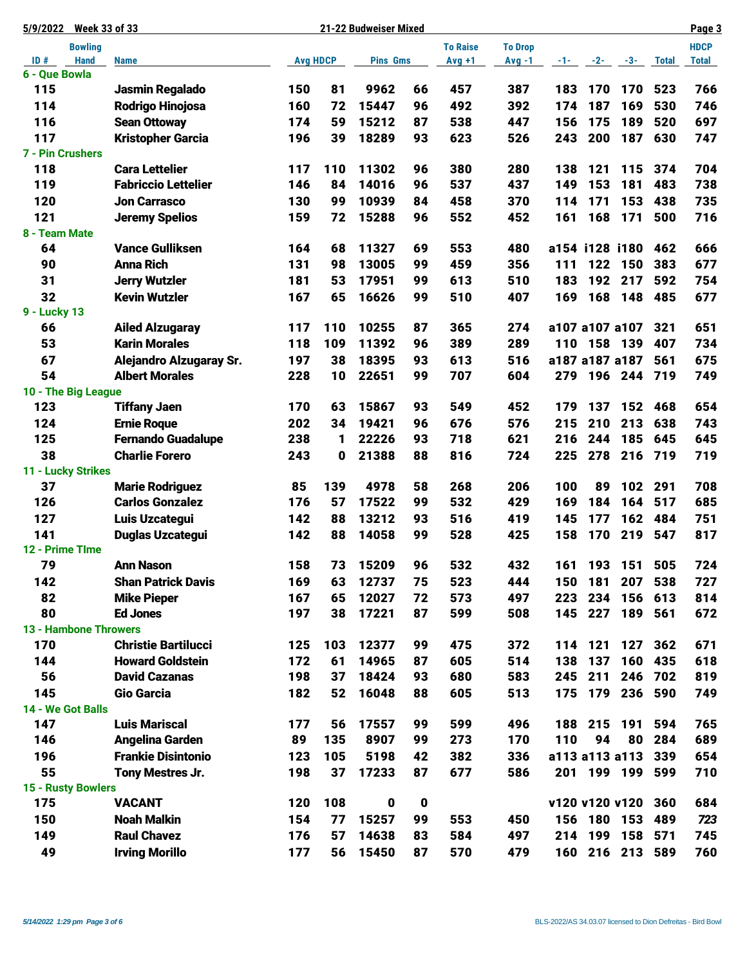| 5/9/2022                     |                | <b>Week 33 of 33</b>       |                 |     | 21-22 Budweiser Mixed |             |                 |                |     |     |                |              | Page 3       |
|------------------------------|----------------|----------------------------|-----------------|-----|-----------------------|-------------|-----------------|----------------|-----|-----|----------------|--------------|--------------|
|                              | <b>Bowling</b> |                            |                 |     |                       |             | <b>To Raise</b> | <b>To Drop</b> |     |     |                |              | <b>HDCP</b>  |
| ID#                          | <b>Hand</b>    | <b>Name</b>                | <b>Avg HDCP</b> |     | <b>Pins Gms</b>       |             | $Avg +1$        | $Avg -1$       |     |     | $-1$ $-2$ $-3$ | <b>Total</b> | <b>Total</b> |
| 6 - Que Bowla<br>115         |                | Jasmin Regalado            | 150             | 81  | 9962                  | 66          | 457             | 387            | 183 | 170 | 170            | 523          | 766          |
| 114                          |                | <b>Rodrigo Hinojosa</b>    | 160             | 72  | 15447                 | 96          | 492             | 392            | 174 | 187 | 169            | 530          | 746          |
| 116                          |                | <b>Sean Ottoway</b>        | 174             | 59  | 15212                 | 87          | 538             | 447            | 156 | 175 | 189            | 520          | 697          |
| 117                          |                | <b>Kristopher Garcia</b>   | 196             | 39  | 18289                 | 93          | 623             | 526            | 243 | 200 | 187            | 630          | 747          |
| 7 - Pin Crushers             |                |                            |                 |     |                       |             |                 |                |     |     |                |              |              |
| 118                          |                | <b>Cara Lettelier</b>      | 117             | 110 | 11302                 | 96          | 380             | 280            | 138 | 121 | 115            | 374          | 704          |
| 119                          |                | <b>Fabriccio Lettelier</b> | 146             | 84  | 14016                 | 96          | 537             | 437            | 149 | 153 | 181            | 483          | 738          |
| 120                          |                | <b>Jon Carrasco</b>        | 130             | 99  | 10939                 | 84          | 458             | 370            | 114 | 171 | 153            | 438          | 735          |
| 121                          |                | <b>Jeremy Spelios</b>      | 159             | 72  | 15288                 | 96          | 552             | 452            | 161 | 168 | 171            | 500          | 716          |
| 8 - Team Mate                |                |                            |                 |     |                       |             |                 |                |     |     |                |              |              |
| 64                           |                | <b>Vance Gulliksen</b>     | 164             | 68  | 11327                 | 69          | 553             | 480            |     |     | a154 i128 i180 | 462          | 666          |
| 90                           |                | <b>Anna Rich</b>           | 131             | 98  | 13005                 | 99          | 459             | 356            | 111 | 122 | 150            | 383          | 677          |
| 31                           |                | <b>Jerry Wutzler</b>       | 181             | 53  | 17951                 | 99          | 613             | 510            | 183 | 192 | 217            | 592          | 754          |
| 32                           |                | <b>Kevin Wutzler</b>       | 167             | 65  | 16626                 | 99          | 510             | 407            | 169 | 168 | 148            | 485          | 677          |
| 9 - Lucky 13                 |                |                            |                 |     |                       |             |                 |                |     |     |                |              |              |
| 66                           |                | <b>Ailed Alzugaray</b>     | 117             | 110 | 10255                 | 87          | 365             | 274            |     |     | a107 a107 a107 | 321          | 651          |
| 53                           |                | <b>Karin Morales</b>       | 118             | 109 | 11392                 | 96          | 389             | 289            | 110 |     | 158 139        | 407          | 734          |
| 67                           |                | Alejandro Alzugaray Sr.    | 197             | 38  | 18395                 | 93          | 613             | 516            |     |     | a187 a187 a187 | 561          | 675          |
| 54                           |                | <b>Albert Morales</b>      | 228             | 10  | 22651                 | 99          | 707             | 604            | 279 |     | 196 244        | 719          | 749          |
| 10 - The Big League          |                |                            |                 |     |                       |             |                 |                |     |     |                |              |              |
| 123                          |                | <b>Tiffany Jaen</b>        | 170             | 63  | 15867                 | 93          | 549             | 452            | 179 | 137 | 152            | 468          | 654          |
| 124                          |                | <b>Ernie Roque</b>         | 202             | 34  | 19421                 | 96          | 676             | 576            | 215 | 210 | 213            | 638          | 743          |
| 125                          |                | <b>Fernando Guadalupe</b>  | 238             | 1   | 22226                 | 93          | 718             | 621            | 216 | 244 | 185            | 645          | 645          |
| 38                           |                | <b>Charlie Forero</b>      | 243             | 0   | 21388                 | 88          | 816             | 724            | 225 | 278 | 216            | 719          | 719          |
| 11 - Lucky Strikes           |                |                            |                 |     |                       |             |                 |                |     |     |                |              |              |
| 37                           |                | <b>Marie Rodriguez</b>     | 85              | 139 | 4978                  | 58          | 268             | 206            | 100 | 89  | 102            | 291          | 708          |
| 126                          |                | <b>Carlos Gonzalez</b>     | 176             | 57  | 17522                 | 99          | 532             | 429            | 169 | 184 | 164            | 517          | 685          |
| 127                          |                | Luis Uzcategui             | 142             | 88  | 13212                 | 93          | 516             | 419            | 145 | 177 | 162            | 484          | 751          |
| 141                          |                | <b>Duglas Uzcategui</b>    | 142             | 88  | 14058                 | 99          | 528             | 425            | 158 | 170 | 219            | 547          | 817          |
| 12 - Prime TIme              |                |                            |                 |     |                       |             |                 |                |     |     |                |              |              |
| 79                           |                | <b>Ann Nason</b>           | 158             | 73  | 15209                 | 96          | 532             | 432            | 161 | 193 | 151            | 505          | 724          |
| 142                          |                | <b>Shan Patrick Davis</b>  | 169             | 63  | 12737                 | 75          | 523             | 444            | 150 | 181 | 207            | 538          | 727          |
| 82                           |                | <b>Mike Pieper</b>         | 167             | 65  | 12027                 | 72          | 573             | 497            | 223 | 234 | 156            | 613          | 814          |
| 80                           |                | <b>Ed Jones</b>            | 197             | 38  | 17221                 | 87          | 599             | 508            | 145 | 227 | 189            | 561          | 672          |
| <b>13 - Hambone Throwers</b> |                |                            |                 |     |                       |             |                 |                |     |     |                |              |              |
| 170                          |                | <b>Christie Bartilucci</b> | 125             | 103 | 12377                 | 99          | 475             | 372            | 114 | 121 | 127            | 362          | 671          |
| 144                          |                | <b>Howard Goldstein</b>    | 172             | 61  | 14965                 | 87          | 605             | 514            | 138 | 137 | 160            | 435          | 618          |
| 56                           |                | <b>David Cazanas</b>       | 198             | 37  | 18424                 | 93          | 680             | 583            | 245 | 211 | 246            | 702          | 819          |
| 145                          |                | Gio Garcia                 | 182             | 52  | 16048                 | 88          | 605             | 513            | 175 |     | 179 236        | 590          | 749          |
| 14 - We Got Balls            |                |                            |                 |     |                       |             |                 |                |     |     |                |              |              |
| 147                          |                | <b>Luis Mariscal</b>       | 177             | 56  | 17557                 | 99          | 599             | 496            | 188 | 215 | 191            | 594          | 765          |
| 146                          |                | <b>Angelina Garden</b>     | 89              | 135 | 8907                  | 99          | 273             | 170            | 110 | 94  | 80             | 284          | 689          |
| 196                          |                | <b>Frankie Disintonio</b>  | 123             | 105 | 5198                  | 42          | 382             | 336            |     |     | a113 a113 a113 | 339          | 654          |
| 55                           |                | Tony Mestres Jr.           | 198             | 37  | 17233                 | 87          | 677             | 586            | 201 |     | 199 199        | 599          | 710          |
| 15 - Rusty Bowlers           |                |                            |                 |     |                       |             |                 |                |     |     |                |              |              |
| 175                          |                | <b>VACANT</b>              | 120             | 108 | 0                     | $\mathbf 0$ |                 |                |     |     | v120 v120 v120 | 360          | 684          |
| 150                          |                | <b>Noah Malkin</b>         | 154             | 77  | 15257                 | 99          | 553             | 450            | 156 |     | 180 153        | 489          | 723          |
| 149                          |                | <b>Raul Chavez</b>         | 176             | 57  | 14638                 | 83          | 584             | 497            | 214 |     | 199 158        | 571          | 745          |
| 49                           |                | <b>Irving Morillo</b>      | 177             | 56  | 15450                 | 87          | 570             | 479            | 160 |     | 216 213        | 589          | 760          |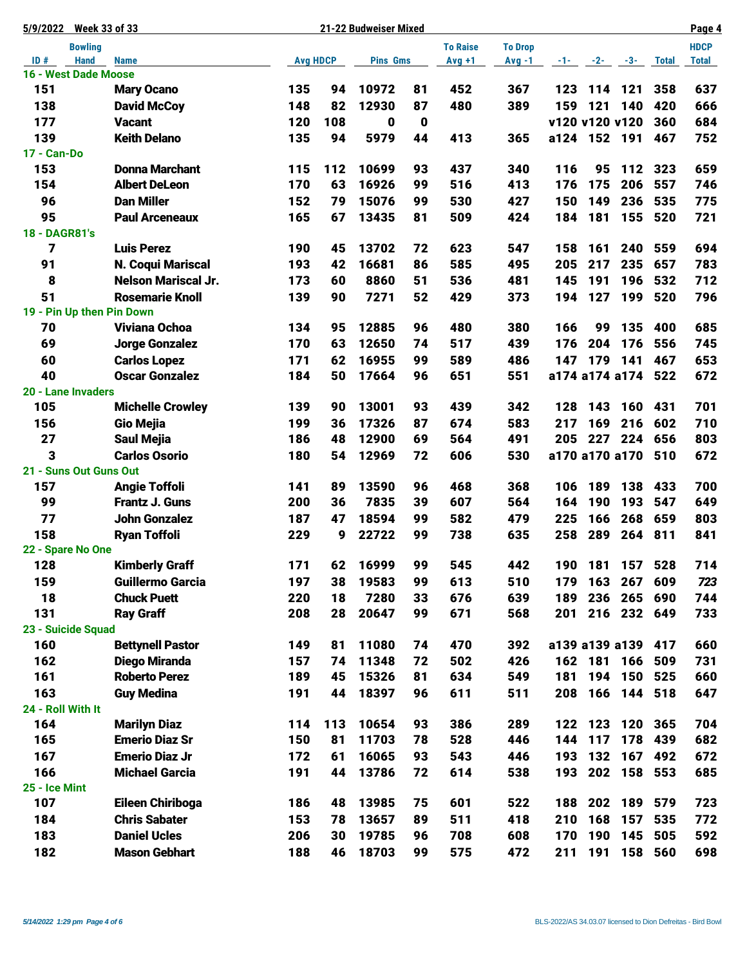| <b>Week 33 of 33</b><br>5/9/2022 |                        |                            |  |                 |     | 21-22 Budweiser Mixed |             |                 |                |              |         |                      |       | Page 4       |
|----------------------------------|------------------------|----------------------------|--|-----------------|-----|-----------------------|-------------|-----------------|----------------|--------------|---------|----------------------|-------|--------------|
|                                  | <b>Bowling</b>         |                            |  |                 |     |                       |             | <b>To Raise</b> | <b>To Drop</b> |              |         |                      |       | <b>HDCP</b>  |
| ID#                              | <b>Hand</b>            | <b>Name</b>                |  | <b>Avg HDCP</b> |     | <b>Pins Gms</b>       |             | $Avg +1$        | $Avg -1$       |              |         | $-1$ - $-2$ - $-3$ - | Total | <b>Total</b> |
|                                  | 16 - West Dade Moose   |                            |  |                 |     |                       |             |                 |                |              |         |                      |       |              |
| 151                              |                        | <b>Mary Ocano</b>          |  | 135             | 94  | 10972                 | 81          | 452             | 367            | 123          |         | 114 121              | 358   | 637          |
| 138                              |                        | <b>David McCoy</b>         |  | 148             | 82  | 12930                 | 87          | 480             | 389            | 159          | 121     | 140                  | 420   | 666          |
| 177                              |                        | <b>Vacant</b>              |  | 120             | 108 | 0                     | $\mathbf 0$ |                 |                |              |         | v120 v120 v120       | 360   | 684          |
| 139                              |                        | <b>Keith Delano</b>        |  | 135             | 94  | 5979                  | 44          | 413             | 365            | a124 152 191 |         |                      | 467   | 752          |
| 17 - Can-Do                      |                        |                            |  |                 |     |                       |             |                 |                |              |         |                      |       |              |
| 153                              |                        | <b>Donna Marchant</b>      |  | 115             | 112 | 10699                 | 93          | 437             | 340            | 116          | 95      | 112                  | 323   | 659          |
| 154                              |                        | <b>Albert DeLeon</b>       |  | 170             | 63  | 16926                 | 99          | 516             | 413            | 176          | 175     | 206                  | 557   | 746          |
| 96                               |                        | <b>Dan Miller</b>          |  | 152             | 79  | 15076                 | 99          | 530             | 427            | 150          | 149     | 236                  | 535   | 775          |
| 95                               |                        | <b>Paul Arceneaux</b>      |  | 165             | 67  | 13435                 | 81          | 509             | 424            | 184          | 181     | 155                  | 520   | 721          |
| 18 - DAGR81's                    |                        |                            |  |                 |     |                       |             |                 |                |              |         |                      |       |              |
| 7                                |                        | <b>Luis Perez</b>          |  | 190             | 45  | 13702                 | 72          | 623             | 547            | 158          | 161     | 240                  | 559   | 694          |
| 91                               |                        | <b>N. Coqui Mariscal</b>   |  | 193             | 42  | 16681                 | 86          | 585             | 495            | 205          | 217     | 235                  | 657   | 783          |
| 8                                |                        | <b>Nelson Mariscal Jr.</b> |  | 173             | 60  | 8860                  | 51          | 536             | 481            | 145          | 191     | 196                  | 532   | 712          |
| 51                               |                        | <b>Rosemarie Knoll</b>     |  | 139             | 90  | 7271                  | 52          | 429             | 373            | 194          | 127     | 199                  | 520   | 796          |
|                                  |                        | 19 - Pin Up then Pin Down  |  |                 |     |                       |             |                 |                |              |         |                      |       |              |
| 70                               |                        | <b>Viviana Ochoa</b>       |  | 134             | 95  | 12885                 | 96          | 480             | 380            | 166          | 99      | 135                  | 400   | 685          |
| 69                               |                        | <b>Jorge Gonzalez</b>      |  | 170             | 63  | 12650                 | 74          | 517             | 439            | 176          | 204     | 176                  | 556   | 745          |
| 60                               |                        | <b>Carlos Lopez</b>        |  | 171             | 62  | 16955                 | 99          | 589             | 486            | 147          | 179     | 141                  | 467   | 653          |
| 40                               |                        | <b>Oscar Gonzalez</b>      |  | 184             | 50  | 17664                 | 96          | 651             | 551            |              |         | a174 a174 a174 522   |       | 672          |
|                                  | 20 - Lane Invaders     |                            |  |                 |     |                       |             |                 |                |              |         |                      |       |              |
| 105                              |                        | <b>Michelle Crowley</b>    |  | 139             | 90  | 13001                 | 93          | 439             | 342            | 128          | 143     | 160                  | 431   | 701          |
| 156                              |                        | <b>Gio Mejia</b>           |  | 199             | 36  | 17326                 | 87          | 674             | 583            | 217          | 169     | 216                  | 602   | 710          |
| 27                               |                        | <b>Saul Mejia</b>          |  | 186             | 48  | 12900                 | 69          | 564             | 491            | 205          |         | 227 224              | 656   | 803          |
| 3                                |                        | <b>Carlos Osorio</b>       |  | 180             | 54  | 12969                 | 72          | 606             | 530            |              |         | a170 a170 a170 510   |       | 672          |
|                                  | 21 - Suns Out Guns Out |                            |  |                 |     |                       |             |                 |                |              |         |                      |       |              |
| 157                              |                        | <b>Angie Toffoli</b>       |  | 141             | 89  | 13590                 | 96          | 468             | 368            | 106          | 189     | 138                  | 433   | 700          |
| 99                               |                        | <b>Frantz J. Guns</b>      |  | 200             | 36  | 7835                  | 39          | 607             | 564            | 164          | 190     | 193                  | 547   | 649          |
| 77                               |                        | <b>John Gonzalez</b>       |  | 187             | 47  | 18594                 | 99          | 582             | 479            | 225          | 166     | 268                  | 659   | 803          |
| 158                              |                        | <b>Ryan Toffoli</b>        |  | 229             | 9   | 22722                 | 99          | 738             | 635            | 258          | 289     | 264                  | 811   | 841          |
|                                  | 22 - Spare No One      |                            |  |                 |     |                       |             |                 |                |              |         |                      |       |              |
| 128                              |                        | <b>Kimberly Graff</b>      |  | 171             | 62  | 16999                 | 99          | 545             | 442            | 190          |         | 181 157 528          |       | 714          |
| 159                              |                        | <b>Guillermo Garcia</b>    |  | 197             | 38  | 19583                 | 99          | 613             | 510            | 179          |         | 163 267              | 609   | 723          |
| 18                               |                        | <b>Chuck Puett</b>         |  | 220             | 18  | 7280                  | 33          | 676             | 639            | 189          |         | 236 265              | 690   | 744          |
| 131                              |                        | <b>Ray Graff</b>           |  | 208             | 28  | 20647                 | 99          | 671             | 568            | 201          |         | 216 232 649          |       | 733          |
|                                  | 23 - Suicide Squad     |                            |  |                 |     |                       |             |                 |                |              |         |                      |       |              |
| 160                              |                        | <b>Bettynell Pastor</b>    |  | 149             | 81  | 11080                 | 74          | 470             | 392            |              |         | a139 a139 a139       | 417   | 660          |
| 162                              |                        | <b>Diego Miranda</b>       |  | 157             | 74  | 11348                 | 72          | 502             | 426            |              | 162 181 | 166                  | 509   | 731          |
| 161                              |                        | <b>Roberto Perez</b>       |  | 189             | 45  | 15326                 | 81          | 634             | 549            | 181          | 194     | 150                  | 525   | 660          |
| 163                              |                        | <b>Guy Medina</b>          |  | 191             | 44  | 18397                 | 96          | 611             | 511            | 208          |         | 166 144 518          |       | 647          |
| 24 - Roll With It                |                        |                            |  |                 |     |                       |             |                 |                |              |         |                      |       |              |
| 164                              |                        | <b>Marilyn Diaz</b>        |  | 114             | 113 | 10654                 | 93          | 386             | 289            | 122          | 123     | 120                  | 365   | 704          |
| 165                              |                        | <b>Emerio Diaz Sr</b>      |  | 150             | 81  | 11703                 | 78          | 528             | 446            | 144          | 117     | 178                  | 439   | 682          |
| 167                              |                        | <b>Emerio Diaz Jr</b>      |  | 172             | 61  | 16065                 | 93          | 543             | 446            | 193          | 132     | 167                  | 492   | 672          |
| 166                              |                        | <b>Michael Garcia</b>      |  | 191             | 44  | 13786                 | 72          | 614             | 538            | 193          |         | 202 158              | 553   | 685          |
| 25 - Ice Mint                    |                        |                            |  |                 |     |                       |             |                 |                |              |         |                      |       |              |
| 107                              |                        | Eileen Chiriboga           |  | 186             | 48  | 13985                 | 75          | 601             | 522            | 188          |         | 202 189              | 579   | 723          |
| 184                              |                        | <b>Chris Sabater</b>       |  | 153             | 78  | 13657                 | 89          | 511             | 418            | 210          | 168     | 157                  | 535   | 772          |
| 183                              |                        | <b>Daniel Ucles</b>        |  | 206             | 30  | 19785                 | 96          | 708             | 608            | 170          | 190     | 145                  | 505   | 592          |
| 182                              |                        | <b>Mason Gebhart</b>       |  | 188             | 46  | 18703                 | 99          | 575             | 472            | 211          | 191     | 158                  | 560   | 698          |
|                                  |                        |                            |  |                 |     |                       |             |                 |                |              |         |                      |       |              |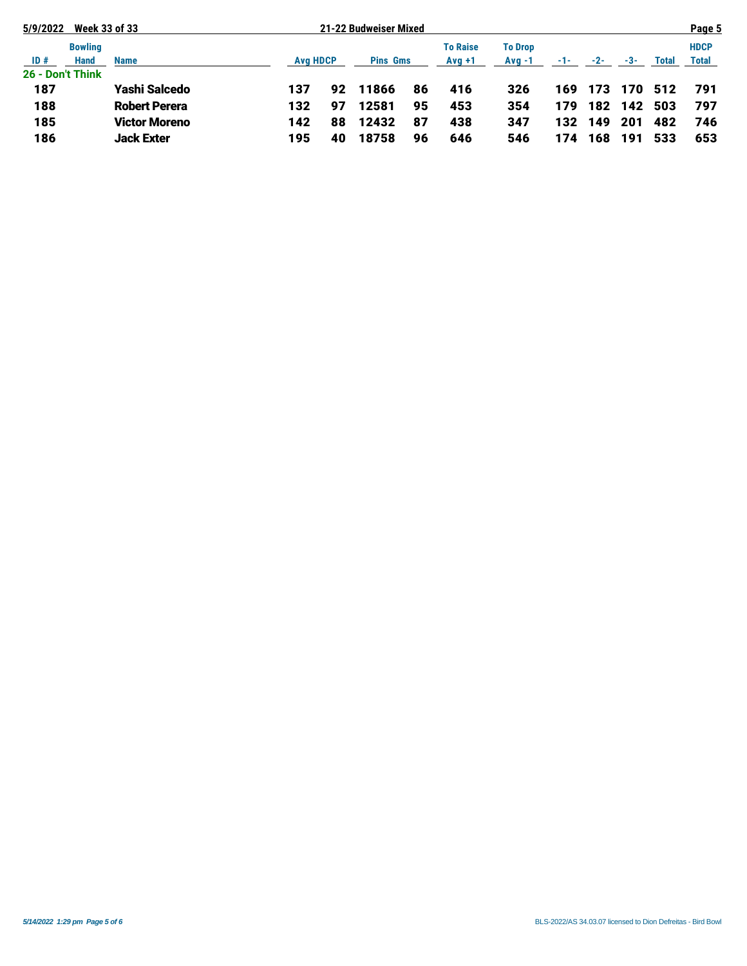| 5/9/2022         | <b>Week 33 of 33</b> |                      |     |                 | 21-22 Budweiser Mixed |                 |                 |                |       | Page 5 |       |              |              |
|------------------|----------------------|----------------------|-----|-----------------|-----------------------|-----------------|-----------------|----------------|-------|--------|-------|--------------|--------------|
|                  | <b>Bowling</b>       |                      |     |                 |                       |                 | <b>To Raise</b> | <b>To Drop</b> |       |        |       |              | <b>HDCP</b>  |
| ID#              | <b>Hand</b>          | <b>Name</b>          |     | <b>Avg HDCP</b> |                       | <b>Pins Gms</b> |                 | $Avq -1$       | $-1-$ | $-2-$  | $-3-$ | <b>Total</b> | <b>Total</b> |
| 26 - Don't Think |                      |                      |     |                 |                       |                 |                 |                |       |        |       |              |              |
| 187              |                      | <b>Yashi Salcedo</b> | 137 | 92              | 11866                 | 86              | 416             | 326            | 169   | 173    | 170   | -512         | 791          |
| 188              |                      | <b>Robert Perera</b> | 132 | 97              | 12581                 | 95              | 453             | 354            | 179   | 182    | 142   | 503          | 797          |
| 185              |                      | <b>Victor Moreno</b> | 142 | 88              | 12432                 | 87              | 438             | 347            | 132   | 149    | 201   | 482          | 746          |
| 186              |                      | <b>Jack Exter</b>    | 195 | 40              | 18758                 | 96              | 646             | 546            | 174   | 168    | 191   | 533          | 653          |